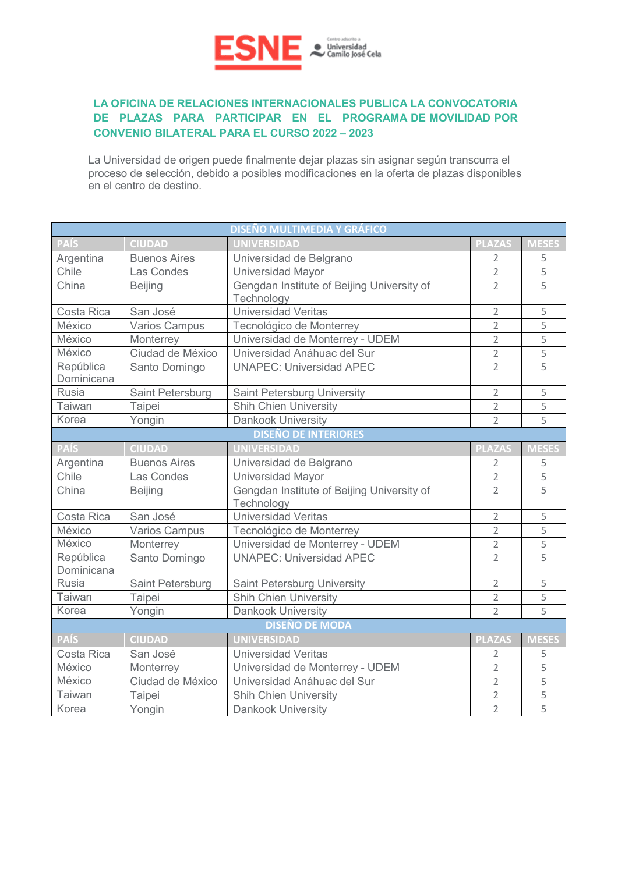

## **LA OFICINA DE RELACIONES INTERNACIONALES PUBLICA LA CONVOCATORIA DE PLAZAS PARA PARTICIPAR EN EL PROGRAMA DE MOVILIDAD POR CONVENIO BILATERAL PARA EL CURSO 2022 – 2023**

La Universidad de origen puede finalmente dejar plazas sin asignar según transcurra el proceso de selección, debido a posibles modificaciones en la oferta de plazas disponibles en el centro de destino.

| <b>DISEÑO MULTIMEDIA Y GRÁFICO</b> |                      |                                                          |                |                |  |  |
|------------------------------------|----------------------|----------------------------------------------------------|----------------|----------------|--|--|
| PAÍS                               | <b>CIUDAD</b>        | <b>UNIVERSIDAD</b>                                       | <b>PLAZAS</b>  | <b>MESES</b>   |  |  |
| Argentina                          | <b>Buenos Aires</b>  | Universidad de Belgrano                                  | $\overline{2}$ | 5              |  |  |
| Chile                              | Las Condes           | Universidad Mayor                                        | $\overline{2}$ | 5              |  |  |
| China                              | <b>Beijing</b>       | Gengdan Institute of Beijing University of<br>Technology | $\overline{2}$ | 5              |  |  |
| Costa Rica                         | San José             | <b>Universidad Veritas</b>                               | $\overline{2}$ | 5              |  |  |
| México                             | <b>Varios Campus</b> | Tecnológico de Monterrey                                 | $\overline{2}$ | 5              |  |  |
| México                             | Monterrey            | Universidad de Monterrey - UDEM                          | $\overline{2}$ | 5              |  |  |
| México                             | Ciudad de México     | Universidad Anáhuac del Sur                              | $\overline{2}$ | 5              |  |  |
| República<br>Dominicana            | Santo Domingo        | <b>UNAPEC: Universidad APEC</b>                          | $\overline{2}$ | $\overline{5}$ |  |  |
| <b>Rusia</b>                       | Saint Petersburg     | <b>Saint Petersburg University</b>                       | $\overline{2}$ | 5              |  |  |
| <b>Taiwan</b>                      | Taipei               | <b>Shih Chien University</b>                             | $\overline{2}$ | 5              |  |  |
| Korea                              | Yongin               | <b>Dankook University</b>                                | $\overline{2}$ | $\overline{5}$ |  |  |
|                                    |                      | <b>DISEÑO DE INTERIORES</b>                              |                |                |  |  |
| <b>PAÍS</b>                        | <b>CIUDAD</b>        | <b>UNIVERSIDAD</b>                                       | <b>PLAZAS</b>  | <b>MESES</b>   |  |  |
| Argentina                          | <b>Buenos Aires</b>  | Universidad de Belgrano                                  | $\overline{2}$ | 5              |  |  |
| Chile                              | Las Condes           | Universidad Mayor                                        | $\overline{2}$ | 5              |  |  |
| China                              | <b>Beijing</b>       | Gengdan Institute of Beijing University of<br>Technology | $\overline{2}$ | $\overline{5}$ |  |  |
| Costa Rica                         | San José             | <b>Universidad Veritas</b>                               | $\overline{2}$ | 5              |  |  |
| México                             | <b>Varios Campus</b> | Tecnológico de Monterrey                                 | $\overline{2}$ | 5              |  |  |
| México                             | Monterrey            | Universidad de Monterrey - UDEM                          | $\overline{2}$ | 5              |  |  |
| República<br>Dominicana            | Santo Domingo        | <b>UNAPEC: Universidad APEC</b>                          | $\overline{2}$ | 5              |  |  |
| <b>Rusia</b>                       | Saint Petersburg     | Saint Petersburg University                              | $\overline{2}$ | 5              |  |  |
| <b>Taiwan</b>                      | Taipei               | <b>Shih Chien University</b>                             | $\overline{2}$ | 5              |  |  |
| Korea                              | Yongin               | <b>Dankook University</b>                                | $\overline{2}$ | 5              |  |  |
| <b>DISEÑO DE MODA</b>              |                      |                                                          |                |                |  |  |
| <b>PAÍS</b>                        | <b>CIUDAD</b>        | <b>UNIVERSIDAD</b>                                       | <b>PLAZAS</b>  | <b>MESES</b>   |  |  |
| Costa Rica                         | San José             | <b>Universidad Veritas</b>                               | $\overline{2}$ | 5              |  |  |
| México                             | Monterrey            | Universidad de Monterrey - UDEM                          | $\overline{2}$ | 5              |  |  |
| México                             | Ciudad de México     | Universidad Anáhuac del Sur                              | $\overline{2}$ | 5              |  |  |
| Taiwan                             | Taipei               | <b>Shih Chien University</b>                             | $\overline{2}$ | 5              |  |  |
| Korea                              | Yongin               | <b>Dankook University</b>                                | $\overline{2}$ | 5              |  |  |